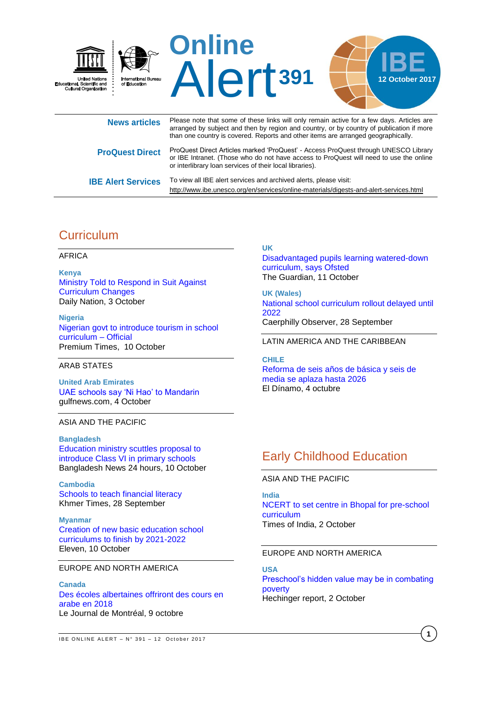

|                           | arranged by subject and then by region and country, or by country of publication if more<br>than one country is covered. Reports and other items are arranged geographically.                                                             |
|---------------------------|-------------------------------------------------------------------------------------------------------------------------------------------------------------------------------------------------------------------------------------------|
| <b>ProQuest Direct</b>    | ProQuest Direct Articles marked 'ProQuest' - Access ProQuest through UNESCO Library<br>or IBE Intranet. (Those who do not have access to ProQuest will need to use the online<br>or interlibrary loan services of their local libraries). |
| <b>IBE Alert Services</b> | To view all IBE alert services and archived alerts, please visit:<br>http://www.ibe.unesco.org/en/services/online-materials/digests-and-alert-services.html                                                                               |

# **Curriculum**

### AFRICA

**Kenya** [Ministry Told to Respond in Suit Against](http://allafrica.com/stories/201710040121.html)  [Curriculum Changes](http://allafrica.com/stories/201710040121.html) Daily Nation, 3 October

**Nigeria** [Nigerian govt to introduce tourism in school](https://www.premiumtimesng.com/news/more-news/245649-nigerian-govt-introduce-tourism-school-curriculum-official.html)  [curriculum –](https://www.premiumtimesng.com/news/more-news/245649-nigerian-govt-introduce-tourism-school-curriculum-official.html) Official Premium Times, 10 October

# ARAB STATES

**United Arab Emirates** [UAE schools say 'Ni Hao' to Mandarin](http://gulfnews.com/xpress/life-style/uae-schools-say-ni-hao-to-mandarin-1.2100542) gulfnews.com, 4 October

### ASIA AND THE PACIFIC

**Bangladesh** [Education ministry scuttles proposal to](https://bdnews24.com/bangladesh/2017/10/10/education-ministry-scuttles-proposal-to-introduce-class-vi-in-primary-schools)  [introduce Class VI in primary schools](https://bdnews24.com/bangladesh/2017/10/10/education-ministry-scuttles-proposal-to-introduce-class-vi-in-primary-schools) Bangladesh News 24 hours, 10 October

**Cambodia** [Schools to teach financial literacy](http://www.khmertimeskh.com/5083840/schools-teach-financial-literacy/) Khmer Times, 28 September

**Myanmar** [Creation of new basic education school](http://www.elevenmyanmar.com/local/11869)  [curriculums to finish by 2021-2022](http://www.elevenmyanmar.com/local/11869) Eleven, 10 October

#### EUROPE AND NORTH AMERICA

**Canada** [Des écoles albertaines offriront des cours en](http://www.journaldemontreal.com/2017/10/09/des-ecoles-albertaines-offriront-des-cours-en-arabe-en-2018)  [arabe en 2018](http://www.journaldemontreal.com/2017/10/09/des-ecoles-albertaines-offriront-des-cours-en-arabe-en-2018) Le Journal de Montréal, 9 octobre

**UK**

[Disadvantaged pupils learning watered-down](https://www.theguardian.com/education/2017/oct/11/disadvantaged-pupils-learning-watered-down-curriculum-schools-ofsted)  [curriculum, says Ofsted](https://www.theguardian.com/education/2017/oct/11/disadvantaged-pupils-learning-watered-down-curriculum-schools-ofsted) The Guardian, 11 October

**UK (Wales)** [National school curriculum rollout delayed until](http://www.caerphillyobserver.co.uk/news/966337/national-school-curriculum-rollout-delayed-until-2022/)  [2022](http://www.caerphillyobserver.co.uk/news/966337/national-school-curriculum-rollout-delayed-until-2022/) Caerphilly Observer, 28 September

LATIN AMERICA AND THE CARIBBEAN

**CHILE** [Reforma de seis años de básica y seis de](http://www.eldinamo.cl/educacion/2017/10/04/reforma-de-seis-anos-de-basica-y-seis-de-media-se-aplaza-hasta-2026/)  [media se aplaza hasta 2026](http://www.eldinamo.cl/educacion/2017/10/04/reforma-de-seis-anos-de-basica-y-seis-de-media-se-aplaza-hasta-2026/) El Dínamo, 4 octubre

# Early Childhood Education

ASIA AND THE PACIFIC

**India** [NCERT to set centre in Bhopal for pre-school](https://timesofindia.indiatimes.com/city/bhopal/ncert-to-set-centre-in-bhopal-for-pre-school-curriculum/articleshow/60905404.cms)  [curriculum](https://timesofindia.indiatimes.com/city/bhopal/ncert-to-set-centre-in-bhopal-for-pre-school-curriculum/articleshow/60905404.cms) Times of India, 2 October

## EUROPE AND NORTH AMERICA

**USA** [Preschool's hidden value may be in combating](http://hechingerreport.org/preschools-hidden-value-may-combating-poverty/)  [poverty](http://hechingerreport.org/preschools-hidden-value-may-combating-poverty/) Hechinger report, 2 October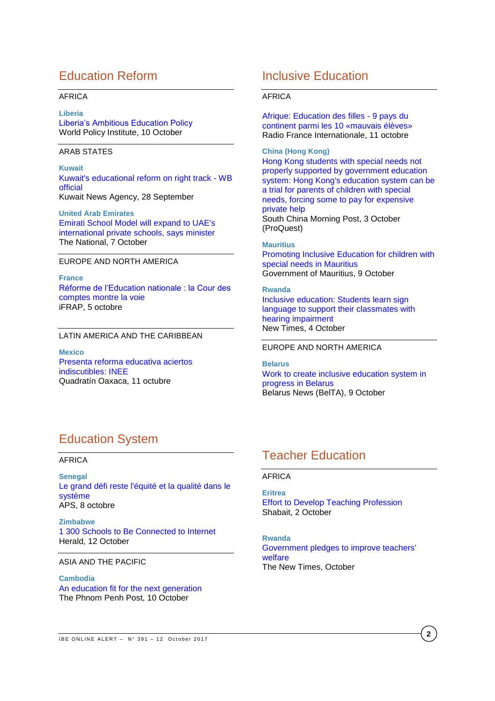# Education Reform

### AFRICA

**Liberia** [Liberia's Ambitious Education Policy](http://www.worldpolicy.org/blog/2017/10/10/liberia%25E2%2580%2599s-ambitious-education-policy) World Policy Institute, 10 October

### ARAB STATES

**Kuwait** [Kuwait's educational reform on right track -](http://www.kuna.net.kw/ArticleDetails.aspx?id=2644273&Language=en) WB [official](http://www.kuna.net.kw/ArticleDetails.aspx?id=2644273&Language=en) Kuwait News Agency, 28 September

**United Arab Emirates** [Emirati School Model will expand to UAE's](https://www.thenational.ae/uae/emirati-school-model-will-expand-to-uae-s-international-private-schools-says-minister-1.664986)  [international private schools, says minister](https://www.thenational.ae/uae/emirati-school-model-will-expand-to-uae-s-international-private-schools-says-minister-1.664986) The National, 7 October

# EUROPE AND NORTH AMERICA

**France** [Réforme de l'Education nationale : la Cour des](http://www.ifrap.org/etat-et-collectivites/reforme-de-leducation-nationale-la-cour-des-comptes-montre-la-voie)  [comptes montre la voie](http://www.ifrap.org/etat-et-collectivites/reforme-de-leducation-nationale-la-cour-des-comptes-montre-la-voie) iFRAP, 5 octobre

# LATIN AMERICA AND THE CARIBBEAN

**Mexico** [Presenta reforma educativa aciertos](https://oaxaca.quadratin.com.mx/presenta-reforma-educativa-aciertos-indiscutibles-inee)  [indiscutibles: INEE](https://oaxaca.quadratin.com.mx/presenta-reforma-educativa-aciertos-indiscutibles-inee) Quadratín Oaxaca, 11 octubre

# Education System

# AFRICA

**Senegal** [Le grand défi reste l'équité et la qualité dans le](http://fr.allafrica.com/stories/201710090341.html)  [système](http://fr.allafrica.com/stories/201710090341.html) APS, 8 octobre

**Zimbabwe** [1 300 Schools to Be Connected to Internet](http://allafrica.com/stories/201710120091.html) Herald, 12 October

# ASIA AND THE PACIFIC

**Cambodia** [An education fit for the next generation](http://www.phnompenhpost.com/post-plus/education-fit-next-generation) The Phnom Penh Post, 10 October

# Inclusive Education

#### AFRICA

[Afrique: Education des filles -](http://fr.allafrica.com/stories/201710110289.html) 9 pays du [continent parmi les 10 «mauvais élèves»](http://fr.allafrica.com/stories/201710110289.html) Radio France Internationale, 11 octobre

**China (Hong Kong)**

[Hong Kong students with special needs not](https://search.proquest.com/central/docview/1945270012/DA2590A676694D6BPQ/3?accountid=41859)  [properly supported by government education](https://search.proquest.com/central/docview/1945270012/DA2590A676694D6BPQ/3?accountid=41859)  [system: Hong Kong's education system can be](https://search.proquest.com/central/docview/1945270012/DA2590A676694D6BPQ/3?accountid=41859)  [a trial for parents of children with special](https://search.proquest.com/central/docview/1945270012/DA2590A676694D6BPQ/3?accountid=41859)  [needs, forcing some to pay for expensive](https://search.proquest.com/central/docview/1945270012/DA2590A676694D6BPQ/3?accountid=41859)  [private help](https://search.proquest.com/central/docview/1945270012/DA2590A676694D6BPQ/3?accountid=41859) South China Morning Post, 3 October (ProQuest)

#### **Mauritius**

[Promoting Inclusive Education for children with](http://www.govmu.org/English/News/Pages/Promoting-Inclusive-Education-for-children-with-special-needs-in-Mauritius.aspx)  [special needs in Mauritius](http://www.govmu.org/English/News/Pages/Promoting-Inclusive-Education-for-children-with-special-needs-in-Mauritius.aspx) Government of Mauritius, 9 October

#### **Rwanda**

[Inclusive education: Students learn sign](http://www.newtimes.co.rw/section/read/221075/)  [language to support their classmates with](http://www.newtimes.co.rw/section/read/221075/)  [hearing impairment](http://www.newtimes.co.rw/section/read/221075/) New Times, 4 October

#### EUROPE AND NORTH AMERICA

**Belarus** [Work to create inclusive education system in](http://eng.belta.by/society/view/work-to-create-inclusive-education-system-in-progress-in-belarus-105707-2017/)  [progress in Belarus](http://eng.belta.by/society/view/work-to-create-inclusive-education-system-in-progress-in-belarus-105707-2017/) Belarus News (BelTA), 9 October

# Teacher Education

#### AFRICA

**Eritrea** [Effort to Develop Teaching Profession](http://allafrica.com/stories/201710040441.html) Shabait, 2 October

**Rwanda** [Government pledges to improve teachers'](http://www.newtimes.co.rw/section/read/221249/)  [welfare](http://www.newtimes.co.rw/section/read/221249/) The New Times, October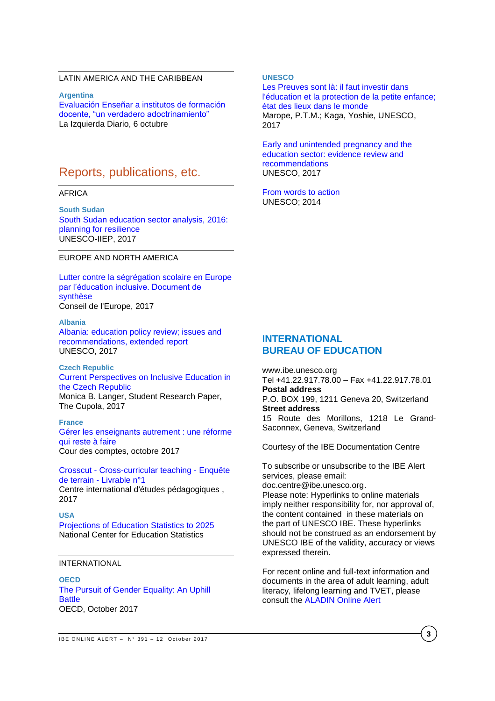# LATIN AMERICA AND THE CARIBBEAN

**Argentina**

[Evaluación Enseñar a institutos de formación](https://www.laizquierdadiario.com/Evaluacion-Ensenar-a-institutos-de-Formacion-Docente-un-verdadero-adoctrinamiento)  [docente, "un verdadero adoctrinamiento"](https://www.laizquierdadiario.com/Evaluacion-Ensenar-a-institutos-de-Formacion-Docente-un-verdadero-adoctrinamiento) La Izquierda Diario, 6 octubre

# Reports, publications, etc.

## AFRICA

**South Sudan** [South Sudan education sector analysis, 2016:](http://unesdoc.unesco.org/images/0025/002592/259247e.pdf)  [planning for resilience](http://unesdoc.unesco.org/images/0025/002592/259247e.pdf) UNESCO-IIEP, 2017

EUROPE AND NORTH AMERICA

[Lutter contre la ségrégation scolaire en Europe](https://book.coe.int/eur/fr/commissaire-aux-droits-de-l-homme/7440-pdf-lutter-contre-la-segregation-scolaire-en-europe-par-leducation-inclusive.html)  [par l'éducation inclusive. Document de](https://book.coe.int/eur/fr/commissaire-aux-droits-de-l-homme/7440-pdf-lutter-contre-la-segregation-scolaire-en-europe-par-leducation-inclusive.html)  [synthèse](https://book.coe.int/eur/fr/commissaire-aux-droits-de-l-homme/7440-pdf-lutter-contre-la-segregation-scolaire-en-europe-par-leducation-inclusive.html) Conseil de l'Europe, 2017

#### **Albania**

[Albania: education policy review; issues and](http://unesdoc.unesco.org/images/0025/002592/259245e.pdf)  [recommendations, extended report](http://unesdoc.unesco.org/images/0025/002592/259245e.pdf) UNESCO, 2017

**Czech Republic** [Current Perspectives on Inclusive Education in](http://cupola.gettysburg.edu/cgi/viewcontent.cgi?article=1641&context=student_scholarship)  [the Czech Republic](http://cupola.gettysburg.edu/cgi/viewcontent.cgi?article=1641&context=student_scholarship) Monica B. Langer, Student Research Paper, The Cupola, 2017

**France** [Gérer les enseignants autrement : une réforme](https://www.ccomptes.fr/fr/documents/39998)  [qui reste à faire](https://www.ccomptes.fr/fr/documents/39998) Cour des comptes, octobre 2017

Crosscut - [Cross-curricular teaching -](http://ife.ens-lyon.fr/ife/partenariat/international/programmes-et-projets/crosscut/projet-ab-coss-curricular-teaching-bb-crosscut) Enquête de terrain - [Livrable n°1](http://ife.ens-lyon.fr/ife/partenariat/international/programmes-et-projets/crosscut/projet-ab-coss-curricular-teaching-bb-crosscut) Centre international d'études pédagogiques , 2017

**USA** [Projections of Education Statistics to 2025](https://nces.ed.gov/pubsearch/pubsinfo.asp?pubid=2017019) National Center for Education Statistics

### INTERNATIONAL

**OECD** [The Pursuit of Gender Equality: An Uphill](http://www.oecd-ilibrary.org/social-issues-migration-health/the-pursuit-of-gender-equality_9789264281318-en)  **[Battle](http://www.oecd-ilibrary.org/social-issues-migration-health/the-pursuit-of-gender-equality_9789264281318-en)** OECD, October 2017

#### **UNESCO**

[Les Preuves sont là: il faut investir dans](http://unesdoc.unesco.org/images/0024/002481/248129f.pdf)  [l'éducation et la protection de la petite enfance;](http://unesdoc.unesco.org/images/0024/002481/248129f.pdf)  [état des lieux dans le monde](http://unesdoc.unesco.org/images/0024/002481/248129f.pdf) Marope, P.T.M.; Kaga, Yoshie, UNESCO, 2017

[Early and unintended pregnancy and the](http://unesdoc.unesco.org/images/0025/002515/251509e.pdf)  [education sector: evidence review and](http://unesdoc.unesco.org/images/0025/002515/251509e.pdf)  [recommendations](http://unesdoc.unesco.org/images/0025/002515/251509e.pdf) UNESCO, 2017

[From words to action](http://unesdoc.unesco.org/images/0023/002311/231132m.pdf) UNESCO; 2014

# **INTERNATIONAL BUREAU OF EDUCATION**

[www.ibe.unesco.org](http://www.ibe.unesco.org/) Tel +41.22.917.78.00 – Fax +41.22.917.78.01 **Postal address** P.O. BOX 199, 1211 Geneva 20, Switzerland **Street address** 15 Route des Morillons, 1218 Le Grand-Saconnex, Geneva, Switzerland Courtesy of the IBE Documentation Centre

To subscribe or unsubscribe to the IBE Alert services, please email: [doc.centre@ibe.unesco.org.](mailto:doc.centre@ibe.unesco.org) Please note: Hyperlinks to online materials imply neither responsibility for, nor approval of, the content contained in these materials on the part of UNESCO IBE. These hyperlinks should not be construed as an endorsement by UNESCO IBE of the validity, accuracy or views expressed therein.

For recent online and full-text information and documents in the area of adult learning, adult literacy, lifelong learning and TVET, please consult the [ALADIN Online Alert](http://mailchi.mp/unesco/eh8vycud52-1070101)

**3**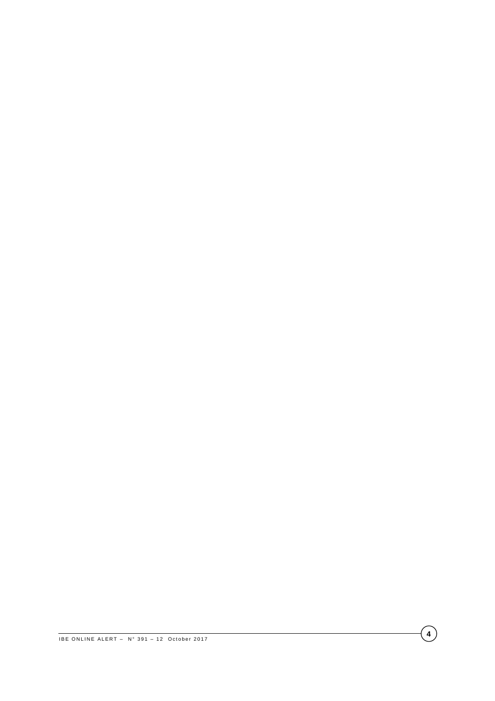$\bigodot$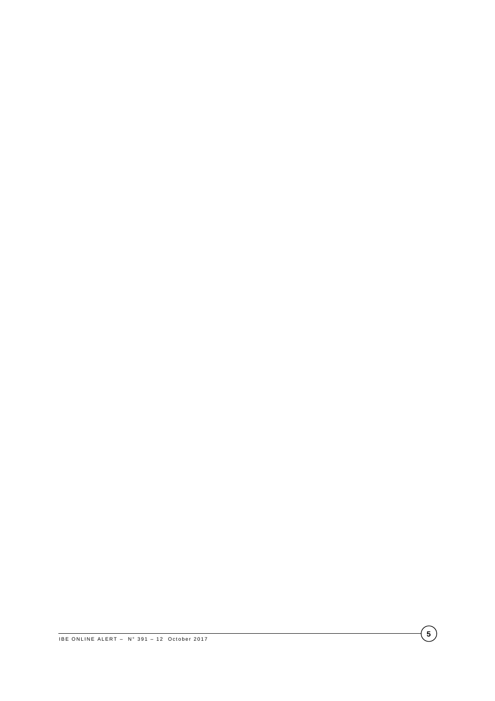$\bigodot$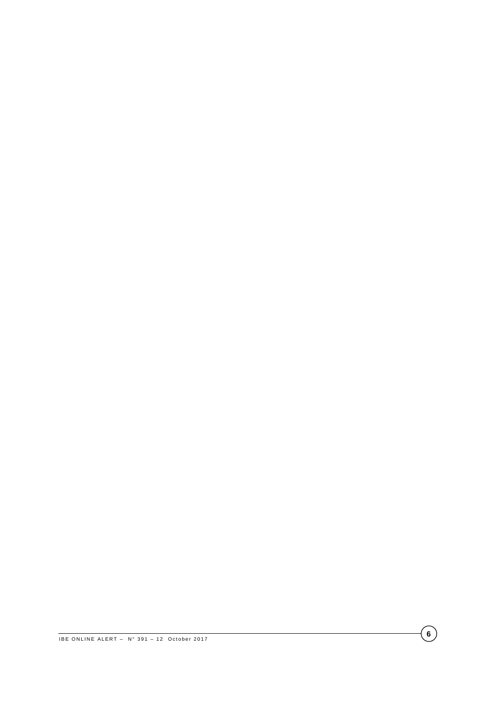$\bigodot$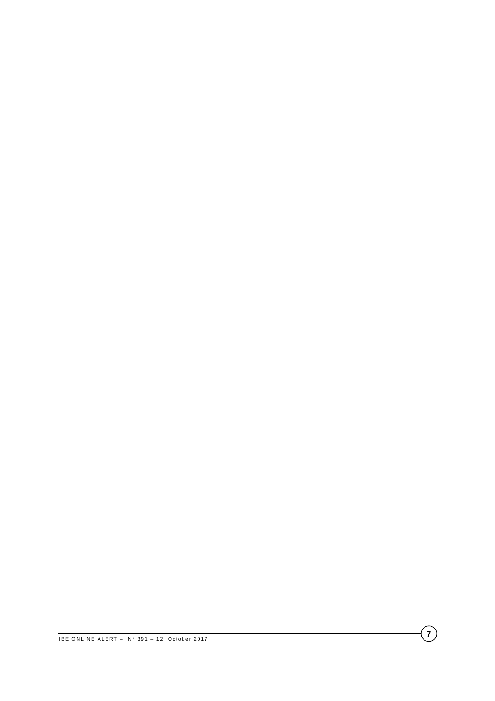$\bigcirc$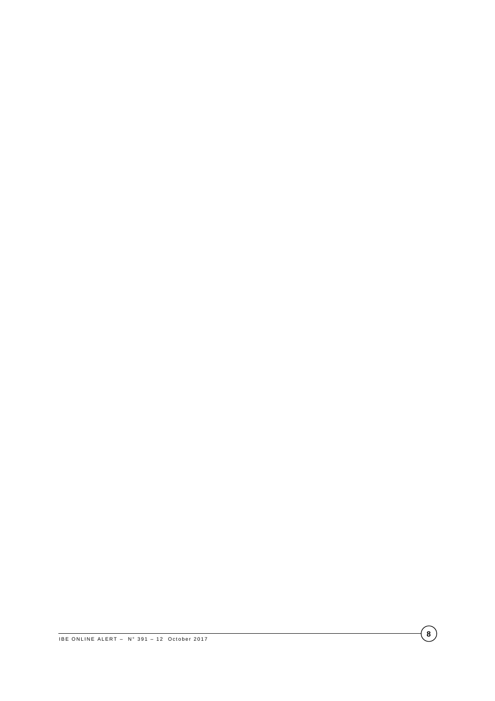$\odot$